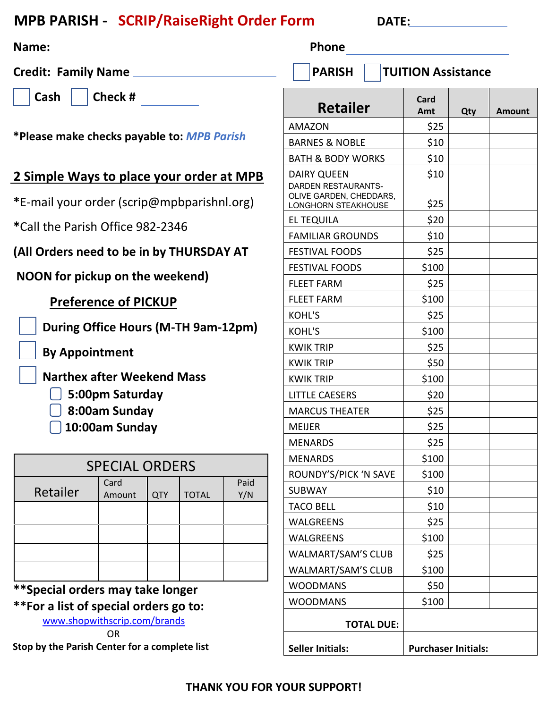### **MPB PARISH - SCRIP/RaiseRight Order Form DATE:** DATE:

| Name:                                                                                                            |        |            |              |                                            | Phone                                                                        |       |                            |     |        |
|------------------------------------------------------------------------------------------------------------------|--------|------------|--------------|--------------------------------------------|------------------------------------------------------------------------------|-------|----------------------------|-----|--------|
| <b>Credit: Family Name</b>                                                                                       |        |            |              | <b>PARISH</b><br><b>TUITION Assistance</b> |                                                                              |       |                            |     |        |
| Check #<br><b>Cash</b>                                                                                           |        |            |              |                                            | <b>Retailer</b>                                                              |       | Card<br>Amt                | Qty | Amount |
| *Please make checks payable to: MPB Parish<br>2 Simple Ways to place your order at MPB                           |        |            |              |                                            | AMAZON                                                                       |       | \$25                       |     |        |
|                                                                                                                  |        |            |              |                                            | <b>BARNES &amp; NOBLE</b>                                                    |       | \$10                       |     |        |
|                                                                                                                  |        |            |              |                                            | <b>BATH &amp; BODY WORKS</b><br><b>DAIRY QUEEN</b>                           |       | \$10<br>\$10               |     |        |
| *E-mail your order (scrip@mpbparishnl.org)                                                                       |        |            |              |                                            | DARDEN RESTAURANTS-<br>OLIVE GARDEN, CHEDDARS,<br><b>LONGHORN STEAKHOUSE</b> |       | \$25                       |     |        |
|                                                                                                                  |        |            |              |                                            | <b>EL TEQUILA</b>                                                            |       | \$20                       |     |        |
| *Call the Parish Office 982-2346                                                                                 |        |            |              |                                            | <b>FAMILIAR GROUNDS</b>                                                      |       | \$10                       |     |        |
| (All Orders need to be in by THURSDAY AT                                                                         |        |            |              |                                            | <b>FESTIVAL FOODS</b>                                                        |       | \$25                       |     |        |
| NOON for pickup on the weekend)                                                                                  |        |            |              |                                            | <b>FESTIVAL FOODS</b>                                                        |       | \$100                      |     |        |
|                                                                                                                  |        |            |              |                                            | <b>FLEET FARM</b>                                                            |       | \$25                       |     |        |
| <b>Preference of PICKUP</b>                                                                                      |        |            |              |                                            | <b>FLEET FARM</b>                                                            |       | \$100                      |     |        |
| During Office Hours (M-TH 9am-12pm)                                                                              |        |            |              | <b>KOHL'S</b>                              |                                                                              | \$25  |                            |     |        |
|                                                                                                                  |        |            |              | KOHL'S                                     |                                                                              | \$100 |                            |     |        |
| <b>By Appointment</b><br><b>Narthex after Weekend Mass</b><br>5:00pm Saturday<br>8:00am Sunday<br>10:00am Sunday |        |            |              |                                            | <b>KWIK TRIP</b>                                                             |       | \$25                       |     |        |
|                                                                                                                  |        |            |              |                                            | <b>KWIK TRIP</b>                                                             |       | \$50                       |     |        |
|                                                                                                                  |        |            |              |                                            | <b>KWIK TRIP</b>                                                             |       | \$100                      |     |        |
|                                                                                                                  |        |            |              |                                            | <b>LITTLE CAESERS</b>                                                        |       | \$20                       |     |        |
|                                                                                                                  |        |            |              |                                            | <b>MARCUS THEATER</b>                                                        |       | \$25                       |     |        |
|                                                                                                                  |        |            |              |                                            | <b>MEIJER</b>                                                                |       | \$25                       |     |        |
|                                                                                                                  |        |            |              |                                            | <b>MENARDS</b>                                                               |       | \$25                       |     |        |
| <b>SPECIAL ORDERS</b>                                                                                            |        |            |              |                                            | <b>MENARDS</b>                                                               |       | \$100                      |     |        |
|                                                                                                                  | Card   |            |              | Paid                                       | ROUNDY'S/PICK 'N SAVE                                                        |       | \$100                      |     |        |
| Retailer                                                                                                         | Amount | <b>QTY</b> | <b>TOTAL</b> | Y/N                                        | <b>SUBWAY</b>                                                                |       | \$10                       |     |        |
|                                                                                                                  |        |            |              |                                            | <b>TACO BELL</b>                                                             |       | \$10                       |     |        |
|                                                                                                                  |        |            |              |                                            | <b>WALGREENS</b>                                                             |       | \$25                       |     |        |
|                                                                                                                  |        |            |              |                                            | <b>WALGREENS</b>                                                             |       | \$100                      |     |        |
|                                                                                                                  |        |            |              |                                            | WALMART/SAM'S CLUB                                                           |       | \$25                       |     |        |
|                                                                                                                  |        |            |              |                                            | WALMART/SAM'S CLUB                                                           |       | \$100                      |     |        |
| **Special orders may take longer                                                                                 |        |            |              |                                            | <b>WOODMANS</b>                                                              |       | \$50                       |     |        |
| **For a list of special orders go to:                                                                            |        |            |              |                                            | <b>WOODMANS</b>                                                              |       | \$100                      |     |        |
| www.shopwithscrip.com/brands<br><b>OR</b>                                                                        |        |            |              |                                            | <b>TOTAL DUE:</b>                                                            |       |                            |     |        |
| Stop by the Parish Center for a complete list                                                                    |        |            |              |                                            | <b>Seller Initials:</b>                                                      |       | <b>Purchaser Initials:</b> |     |        |

#### **THANK YOU FOR YOUR SUPPORT!**